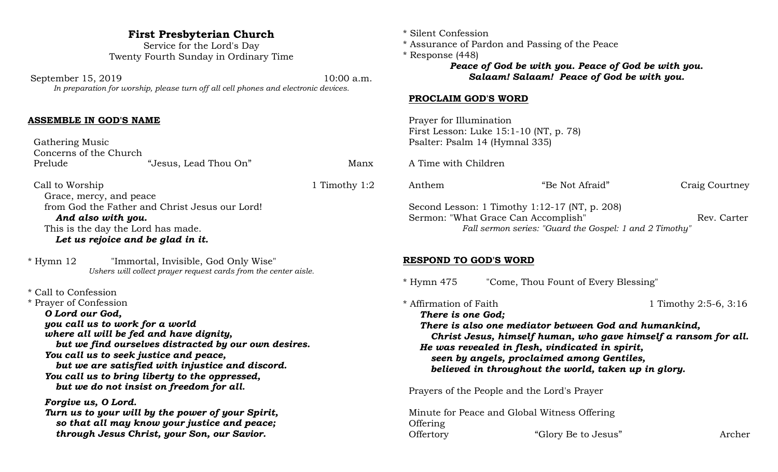## **First Presbyterian Church**

Service for the Lord's Day Twenty Fourth Sunday in Ordinary Time

September 15, 2019 10:00 a.m. *In preparation for worship, please turn off all cell phones and electronic devices.*

#### **ASSEMBLE IN GOD'S NAME**

 Gathering Music Concerns of the Church Prelude "Jesus, Lead Thou On" Manx

Call to Worship 1:2 Grace, mercy, and peace from God the Father and Christ Jesus our Lord! *And also with you.* This is the day the Lord has made. *Let us rejoice and be glad in it.*

\* Hymn 12 "Immortal, Invisible, God Only Wise" *Ushers will collect prayer request cards from the center aisle.*

\* Call to Confession

\* Prayer of Confession *O Lord our God, you call us to work for a world where all will be fed and have dignity, but we find ourselves distracted by our own desires. You call us to seek justice and peace, but we are satisfied with injustice and discord. You call us to bring liberty to the oppressed, but we do not insist on freedom for all. Forgive us, O Lord.*

*Turn us to your will by the power of your Spirit, so that all may know your justice and peace; through Jesus Christ, your Son, our Savior.*

- \* Silent Confession
- \* Assurance of Pardon and Passing of the Peace
- \* Response (448) *Peace of God be with you. Peace of God be with you. Salaam! Salaam! Peace of God be with you.*

#### **PROCLAIM GOD'S WORD**

 Prayer for Illumination First Lesson: Luke 15:1-10 (NT, p. 78) Psalter: Psalm 14 (Hymnal 335)

A Time with Children

| Anthem | "Be Not Afraid"                                                                                                                                 | Craig Courtney |
|--------|-------------------------------------------------------------------------------------------------------------------------------------------------|----------------|
|        | Second Lesson: 1 Timothy 1:12-17 (NT, p. 208)<br>Sermon: "What Grace Can Accomplish"<br>Fall sermon series: "Guard the Gospel: 1 and 2 Timothy" | Rev. Carter    |

#### **RESPOND TO GOD'S WORD**

\* Hymn 475 "Come, Thou Fount of Every Blessing"

\* Affirmation of Faith 1 Timothy 2:5-6, 3:16 *There is one God; There is also one mediator between God and humankind, Christ Jesus, himself human, who gave himself a ransom for all. He was revealed in flesh, vindicated in spirit, seen by angels, proclaimed among Gentiles, believed in throughout the world, taken up in glory.*

Prayers of the People and the Lord's Prayer

 Minute for Peace and Global Witness Offering **Offering** Offertory "Glory Be to Jesus" Archer